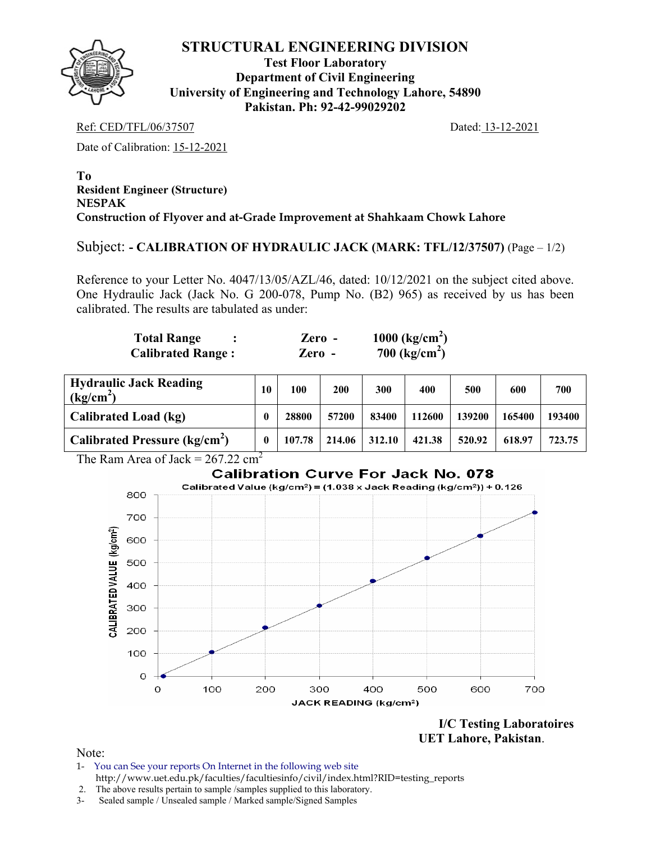

**Test Floor Laboratory Department of Civil Engineering University of Engineering and Technology Lahore, 54890 Pakistan. Ph: 92-42-99029202** 

Ref: CED/TFL/06/37507 Dated: 13-12-2021

Date of Calibration: 15-12-2021

#### **To Resident Engineer (Structure) NESPAK Construction of Flyover and at-Grade Improvement at Shahkaam Chowk Lahore**

#### Subject: **- CALIBRATION OF HYDRAULIC JACK (MARK: TFL/12/37507)** (Page – 1/2)

Reference to your Letter No. 4047/13/05/AZL/46, dated: 10/12/2021 on the subject cited above. One Hydraulic Jack (Jack No. G 200-078, Pump No. (B2) 965) as received by us has been calibrated. The results are tabulated as under:

| <b>Total Range</b>       | $\chi$ <i>Lero</i> - | 1000 $\text{(kg/cm}^2)$ |
|--------------------------|----------------------|-------------------------|
| <b>Calibrated Range:</b> | Zero -               | 700 ( $kg/cm2$ )        |

| <b>Hydraulic Jack Reading</b><br>(kg/cm <sup>2</sup> ) | 10 | 100    | 200    | 300    | 400    | 500    | 600    | 700    |
|--------------------------------------------------------|----|--------|--------|--------|--------|--------|--------|--------|
| Calibrated Load (kg)                                   |    | 28800  | 57200  | 83400  | 112600 | 139200 | 165400 | 193400 |
| Calibrated Pressure (kg/cm <sup>2</sup> )              |    | 107.78 | 214.06 | 312.10 | 421.38 | 520.92 | 618.97 | 723.75 |

The Ram Area of Jack =  $267.22 \text{ cm}^2$ 



**I/C Testing Laboratoires UET Lahore, Pakistan**.

- 1- You can See your reports On Internet in the following web site http://www.uet.edu.pk/faculties/facultiesinfo/civil/index.html?RID=testing\_reports
- 2. The above results pertain to sample /samples supplied to this laboratory.
- 3- Sealed sample / Unsealed sample / Marked sample/Signed Samples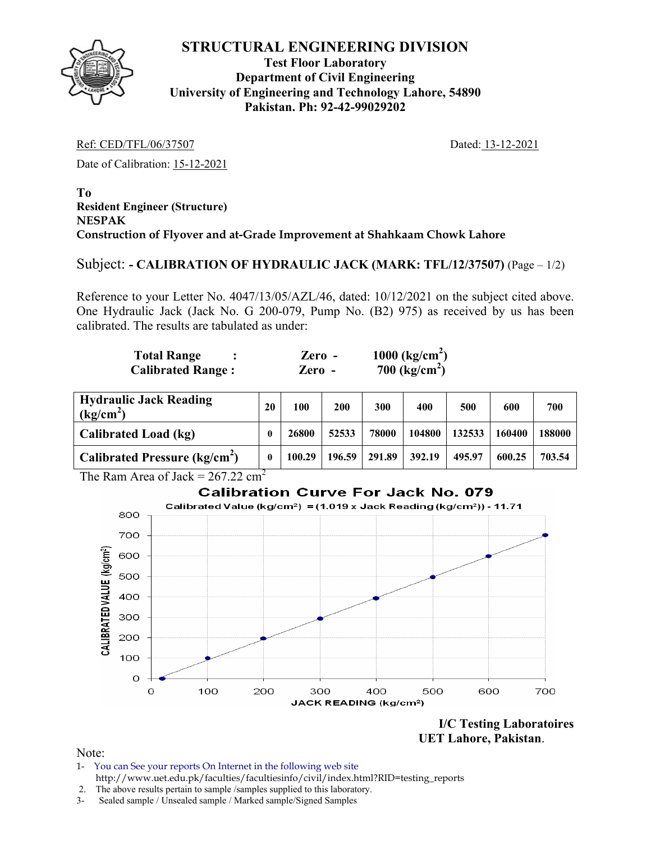

### **Test Floor Laboratory Department of Civil Engineering University of Engineering and Technology Lahore, 54890 Pakistan. Ph: 92-42-99029202**

Ref: CED/TFL/06/37507 Dated: 13-12-2021

Date of Calibration: 15-12-2021

**To Resident Engineer (Structure) NESPAK Construction of Flyover and at-Grade Improvement at Shahkaam Chowk Lahore** 

### Subject: **- CALIBRATION OF HYDRAULIC JACK (MARK: TFL/12/37507)** (Page – 1/2)

Reference to your Letter No. 4047/13/05/AZL/46, dated: 10/12/2021 on the subject cited above. One Hydraulic Jack (Jack No. G 200-079, Pump No. (B2) 975) as received by us has been calibrated. The results are tabulated as under:

| <b>Total Range</b>       | Zero - | 1000 $\text{(kg/cm}^2)$ |
|--------------------------|--------|-------------------------|
| <b>Calibrated Range:</b> | Zero - | 700 $(kg/cm^2)$         |

| <b>Hydraulic Jack Reading</b><br>(kg/cm <sup>2</sup> ) | 20 | 100    | 200    | 300    | 400    | 500    | 600    | 700    |
|--------------------------------------------------------|----|--------|--------|--------|--------|--------|--------|--------|
| Calibrated Load (kg)                                   |    | 26800  | 52533  | 78000  | 104800 | 132533 | 160400 | 188000 |
| Calibrated Pressure ( $kg/cm2$ )                       | 0  | 100.29 | 196.59 | 291.89 | 392.19 | 495.97 | 600.25 | 703.54 |

The Ram Area of Jack =  $267.22 \text{ cm}^2$ 

### **Calibration Curve For Jack No. 079**



**I/C Testing Laboratoires UET Lahore, Pakistan**.

- 1- You can See your reports On Internet in the following web site http://www.uet.edu.pk/faculties/facultiesinfo/civil/index.html?RID=testing\_reports
- 2. The above results pertain to sample /samples supplied to this laboratory.
- 3- Sealed sample / Unsealed sample / Marked sample/Signed Samples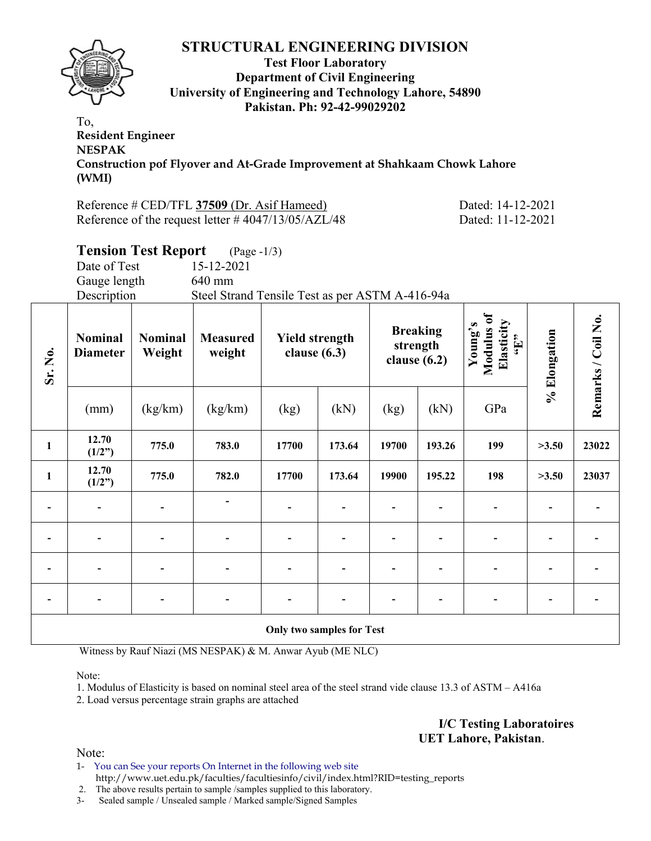

#### **Test Floor Laboratory Department of Civil Engineering University of Engineering and Technology Lahore, 54890 Pakistan. Ph: 92-42-99029202**

To, **Resident Engineer NESPAK Construction pof Flyover and At-Grade Improvement at Shahkaam Chowk Lahore (WMI)** 

Reference # CED/TFL **37509** (Dr. Asif Hameed) Dated: 14-12-2021 Reference of the request letter #4047/13/05/AZL/48 Dated: 11-12-2021

# **Tension Test Report** (Page -1/3) Date of Test 15-12-2021 Gauge length 640 mm Description Steel Strand Tensile Test as per ASTM A-416-94a

| Sr. No.                  | <b>Nominal</b><br><b>Nominal</b><br>Weight<br><b>Diameter</b> |         | <b>Measured</b><br><b>Yield strength</b><br>weight<br>clause $(6.3)$ |                                  | <b>Breaking</b><br>strength<br>clause $(6.2)$ |       | Modulus of<br>Elasticity<br>Young's<br>$\mathbf{H}$ | % Elongation | Remarks / Coil No. |       |
|--------------------------|---------------------------------------------------------------|---------|----------------------------------------------------------------------|----------------------------------|-----------------------------------------------|-------|-----------------------------------------------------|--------------|--------------------|-------|
|                          | (mm)                                                          | (kg/km) | (kg/km)                                                              | (kg)                             | (kN)                                          | (kg)  | (kN)                                                | GPa          |                    |       |
| $\mathbf{1}$             | 12.70<br>(1/2")                                               | 775.0   | 783.0                                                                | 17700                            | 173.64                                        | 19700 | 193.26                                              | 199          | >3.50              | 23022 |
| $\mathbf{1}$             | 12.70<br>(1/2")                                               | 775.0   | 782.0                                                                | 17700                            | 173.64                                        | 19900 | 195.22                                              | 198          | >3.50              | 23037 |
| $\overline{\phantom{a}}$ | $\overline{\phantom{a}}$                                      |         |                                                                      | $\blacksquare$                   |                                               |       |                                                     |              |                    |       |
|                          |                                                               |         |                                                                      | $\blacksquare$                   |                                               |       |                                                     |              |                    |       |
| $\overline{\phantom{a}}$ | $\overline{\phantom{0}}$                                      |         |                                                                      | $\blacksquare$                   |                                               | ٠     |                                                     |              |                    |       |
| $\overline{\phantom{a}}$ |                                                               |         |                                                                      |                                  |                                               |       |                                                     |              |                    |       |
|                          |                                                               |         |                                                                      | <b>Only two samples for Test</b> |                                               |       |                                                     |              |                    |       |

Witness by Rauf Niazi (MS NESPAK) & M. Anwar Ayub (ME NLC)

Note:

1. Modulus of Elasticity is based on nominal steel area of the steel strand vide clause 13.3 of ASTM – A416a

2. Load versus percentage strain graphs are attached

**I/C Testing Laboratoires UET Lahore, Pakistan**.

Note:

1- You can See your reports On Internet in the following web site http://www.uet.edu.pk/faculties/facultiesinfo/civil/index.html?RID=testing\_reports

2. The above results pertain to sample /samples supplied to this laboratory.

3- Sealed sample / Unsealed sample / Marked sample/Signed Samples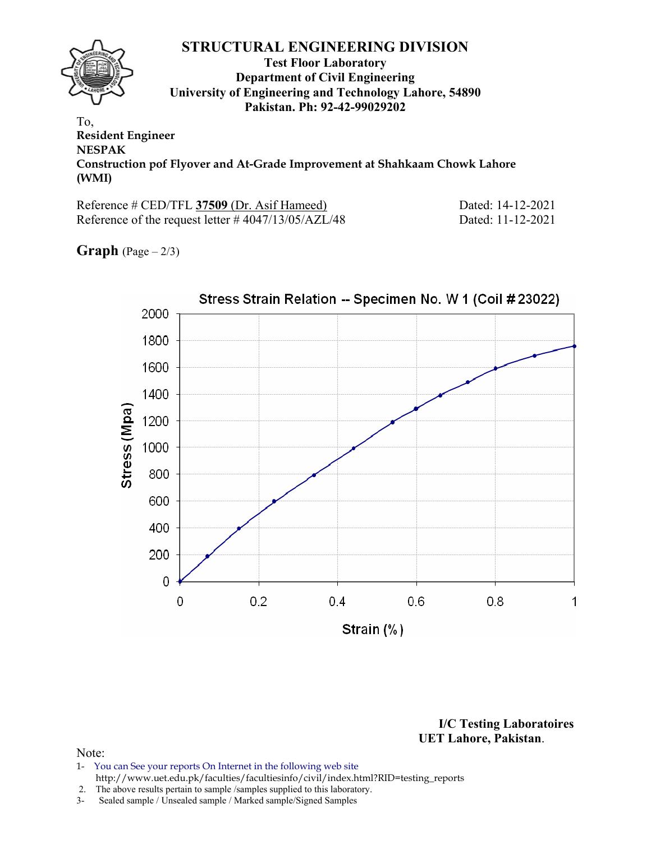### **STRUCTURAL ENGINEERING DIVISION Test Floor Laboratory Department of Civil Engineering University of Engineering and Technology Lahore, 54890 Pakistan. Ph: 92-42-99029202**  To,

**Resident Engineer NESPAK Construction pof Flyover and At-Grade Improvement at Shahkaam Chowk Lahore (WMI)** 

Reference # CED/TFL **37509** (Dr. Asif Hameed) Dated: 14-12-2021 Reference of the request letter # 4047/13/05/AZL/48 Dated: 11-12-2021

**Graph**  $(Page - 2/3)$ 



**I/C Testing Laboratoires UET Lahore, Pakistan**.

- 1- You can See your reports On Internet in the following web site http://www.uet.edu.pk/faculties/facultiesinfo/civil/index.html?RID=testing\_reports
- 2. The above results pertain to sample /samples supplied to this laboratory.
- 3- Sealed sample / Unsealed sample / Marked sample/Signed Samples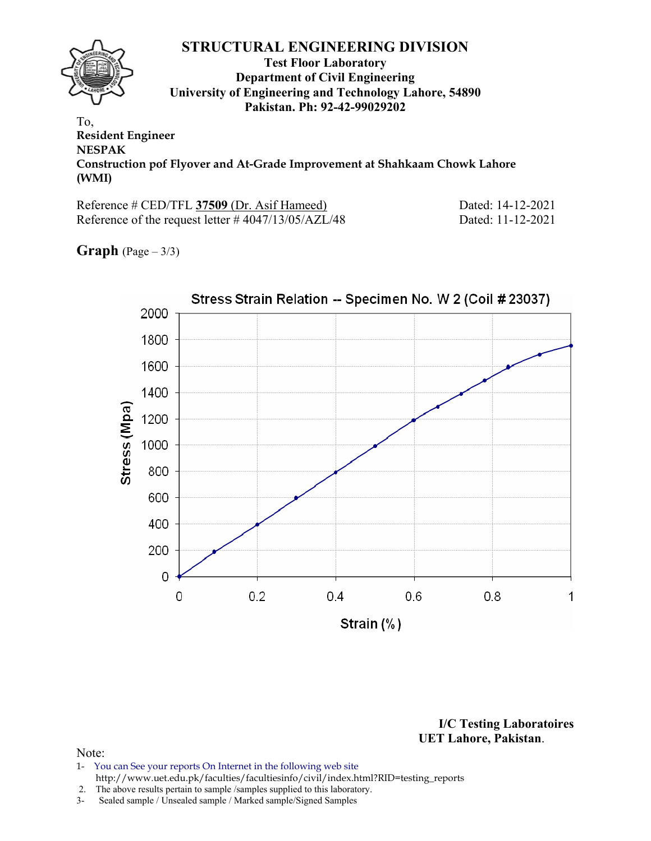#### **STRUCTURAL ENGINEERING DIVISION Test Floor Laboratory Department of Civil Engineering University of Engineering and Technology Lahore, 54890 Pakistan. Ph: 92-42-99029202**  To,

**Resident Engineer NESPAK Construction pof Flyover and At-Grade Improvement at Shahkaam Chowk Lahore (WMI)** 

Reference # CED/TFL **37509** (Dr. Asif Hameed) Dated: 14-12-2021 Reference of the request letter # 4047/13/05/AZL/48 Dated: 11-12-2021

**Graph**  $(Page - 3/3)$ 



**I/C Testing Laboratoires UET Lahore, Pakistan**.

- 1- You can See your reports On Internet in the following web site http://www.uet.edu.pk/faculties/facultiesinfo/civil/index.html?RID=testing\_reports
- 2. The above results pertain to sample /samples supplied to this laboratory.
- 3- Sealed sample / Unsealed sample / Marked sample/Signed Samples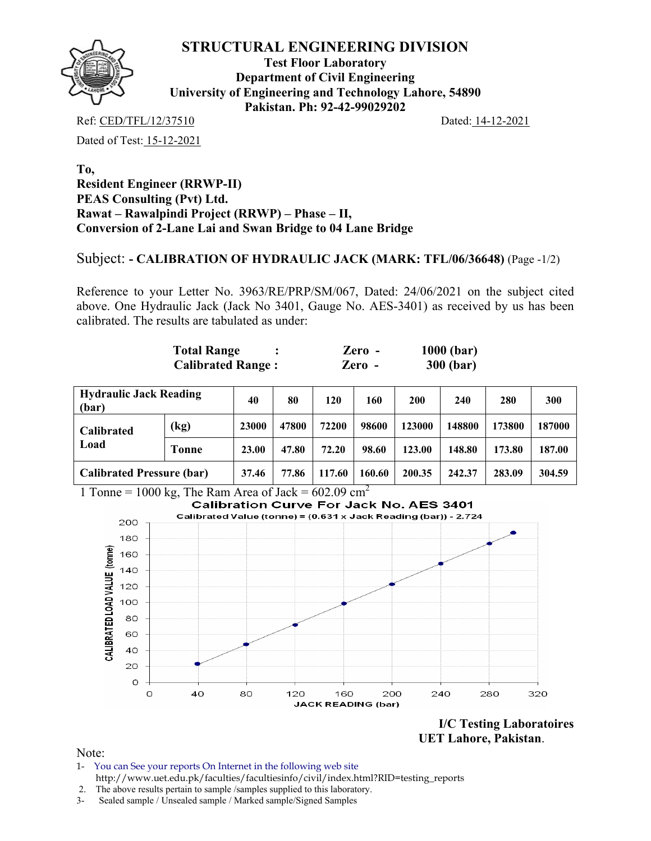

**Test Floor Laboratory Department of Civil Engineering University of Engineering and Technology Lahore, 54890 Pakistan. Ph: 92-42-99029202** 

Ref: CED/TFL/12/37510 Dated: 14-12-2021

Dated of Test: 15-12-2021

#### **To, Resident Engineer (RRWP-II) PEAS Consulting (Pvt) Ltd. Rawat – Rawalpindi Project (RRWP) – Phase – II, Conversion of 2-Lane Lai and Swan Bridge to 04 Lane Bridge**

#### Subject: **- CALIBRATION OF HYDRAULIC JACK (MARK: TFL/06/36648)** (Page -1/2)

Reference to your Letter No. 3963/RE/PRP/SM/067, Dated: 24/06/2021 on the subject cited above. One Hydraulic Jack (Jack No 3401, Gauge No. AES-3401) as received by us has been calibrated. The results are tabulated as under:

| <b>Total Range</b>       | $\chi$ ero - | $1000$ (bar)     |
|--------------------------|--------------|------------------|
| <b>Calibrated Range:</b> | Zero -       | <b>300 (bar)</b> |

| <b>Hydraulic Jack Reading</b><br>(bar) |                            | 40    | 80     | 120    | 160    | 200    | 240    | 280    | 300    |
|----------------------------------------|----------------------------|-------|--------|--------|--------|--------|--------|--------|--------|
| Calibrated                             | $\left(\mathrm{kg}\right)$ | 23000 | 47800  | 72200  | 98600  | 123000 | 148800 | 173800 | 187000 |
| Load                                   | Tonne                      | 23.00 | 47.80  | 72.20  | 98.60  | 123.00 | 148.80 | 173.80 | 187.00 |
| <b>Calibrated Pressure (bar)</b>       | 37.46                      | 77.86 | 117.60 | 160.60 | 200.35 | 242.37 | 283.09 | 304.59 |        |

1 Tonne = 1000 kg, The Ram Area of Jack =  $602.09 \text{ cm}^2$ 



**I/C Testing Laboratoires UET Lahore, Pakistan**.

- 1- You can See your reports On Internet in the following web site http://www.uet.edu.pk/faculties/facultiesinfo/civil/index.html?RID=testing\_reports
- 2. The above results pertain to sample /samples supplied to this laboratory.
- 3- Sealed sample / Unsealed sample / Marked sample/Signed Samples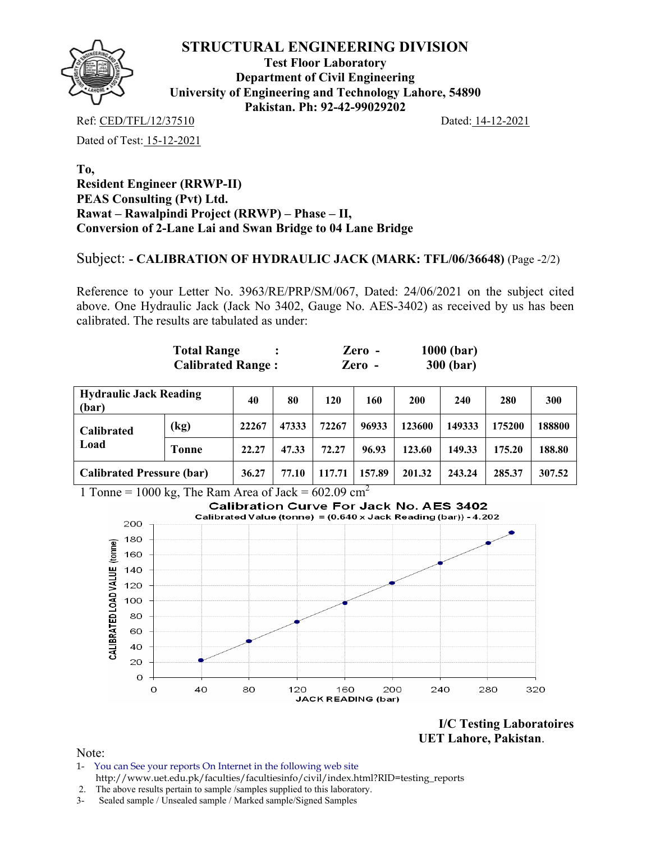

**Test Floor Laboratory Department of Civil Engineering University of Engineering and Technology Lahore, 54890 Pakistan. Ph: 92-42-99029202** 

Ref: CED/TFL/12/37510 Dated: 14-12-2021

Dated of Test: 15-12-2021

#### **To, Resident Engineer (RRWP-II) PEAS Consulting (Pvt) Ltd. Rawat – Rawalpindi Project (RRWP) – Phase – II, Conversion of 2-Lane Lai and Swan Bridge to 04 Lane Bridge**

#### Subject: **- CALIBRATION OF HYDRAULIC JACK (MARK: TFL/06/36648)** (Page -2/2)

Reference to your Letter No. 3963/RE/PRP/SM/067, Dated: 24/06/2021 on the subject cited above. One Hydraulic Jack (Jack No 3402, Gauge No. AES-3402) as received by us has been calibrated. The results are tabulated as under:

| <b>Total Range</b>       | $\chi$ ero - | $1000$ (bar)     |
|--------------------------|--------------|------------------|
| <b>Calibrated Range:</b> | Zero -       | <b>300 (bar)</b> |

| <b>Hydraulic Jack Reading</b><br>(bar) |       | 40    | 80     | 120    | 160    | 200    | 240    | 280    | 300    |
|----------------------------------------|-------|-------|--------|--------|--------|--------|--------|--------|--------|
| Calibrated                             | (kg)  | 22267 | 47333  | 72267  | 96933  | 123600 | 149333 | 175200 | 188800 |
| Load                                   | Tonne |       | 47.33  | 72.27  | 96.93  | 123.60 | 149.33 | 175.20 | 188.80 |
| <b>Calibrated Pressure (bar)</b>       | 36.27 | 77.10 | 117.71 | 157.89 | 201.32 | 243.24 | 285.37 | 307.52 |        |

1 Tonne = 1000 kg, The Ram Area of Jack =  $602.09 \text{ cm}^2$ 



**I/C Testing Laboratoires UET Lahore, Pakistan**.

- 1- You can See your reports On Internet in the following web site http://www.uet.edu.pk/faculties/facultiesinfo/civil/index.html?RID=testing\_reports
- 2. The above results pertain to sample /samples supplied to this laboratory.
- 3- Sealed sample / Unsealed sample / Marked sample/Signed Samples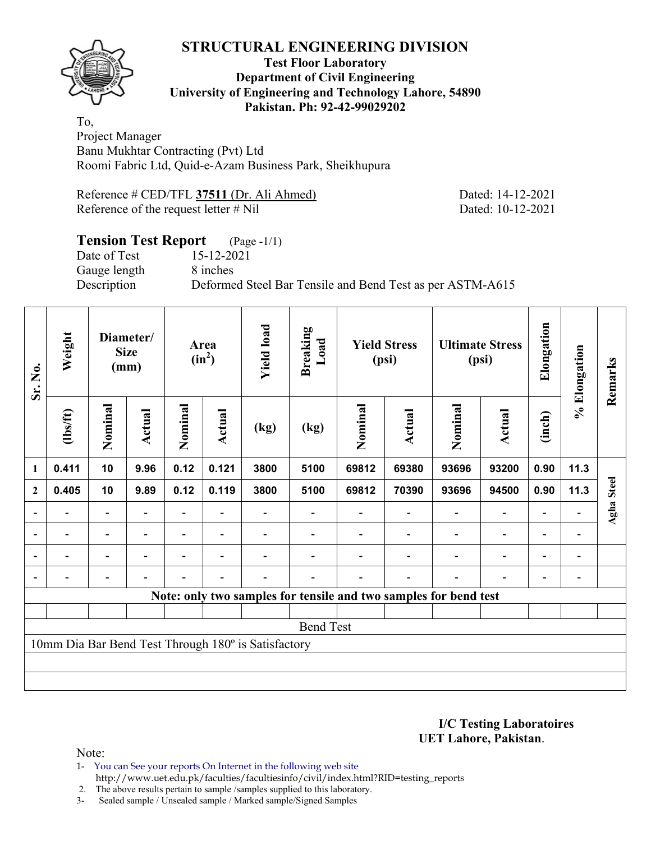

#### **Test Floor Laboratory Department of Civil Engineering University of Engineering and Technology Lahore, 54890 Pakistan. Ph: 92-42-99029202**

To, Project Manager Banu Mukhtar Contracting (Pvt) Ltd Roomi Fabric Ltd, Quid-e-Azam Business Park, Sheikhupura

Reference # CED/TFL **37511** (Dr. Ali Ahmed) Dated: 14-12-2021 Reference of the request letter # Nil Dated: 10-12-2021

# **Tension Test Report** (Page -1/1) Date of Test 15-12-2021 Gauge length 8 inches Description Deformed Steel Bar Tensile and Bend Test as per ASTM-A615

| Sr. No.                  | Weight                                              |                          | Diameter/<br><b>Size</b><br>(mm) | Area<br>$(in^2)$ |                          |      |                                                                  | <b>Yield load</b> | <b>Breaking</b><br>Load  |         | <b>Yield Stress</b><br>(psi) |                          | <b>Ultimate Stress</b><br>(psi) | Elongation | % Elongation | Remarks |
|--------------------------|-----------------------------------------------------|--------------------------|----------------------------------|------------------|--------------------------|------|------------------------------------------------------------------|-------------------|--------------------------|---------|------------------------------|--------------------------|---------------------------------|------------|--------------|---------|
|                          | $\frac{2}{10}$                                      | Nominal                  | Actual                           | Nominal          | Actual                   | (kg) | (kg)                                                             | Nominal           | Actual                   | Nominal | <b>Actual</b>                | (inch)                   |                                 |            |              |         |
| $\mathbf{1}$             | 0.411                                               | 10                       | 9.96                             | 0.12             | 0.121                    | 3800 | 5100                                                             | 69812             | 69380                    | 93696   | 93200                        | 0.90                     | 11.3                            |            |              |         |
| $\overline{2}$           | 0.405                                               | 10                       | 9.89                             | 0.12             | 0.119                    | 3800 | 5100                                                             | 69812             | 70390                    | 93696   | 94500                        | 0.90                     | 11.3                            | Agha Steel |              |         |
|                          |                                                     |                          |                                  |                  |                          |      |                                                                  |                   |                          |         | $\overline{\phantom{0}}$     |                          |                                 |            |              |         |
| $\overline{\phantom{a}}$ | $\overline{\phantom{0}}$                            | $\blacksquare$           | $\overline{\phantom{0}}$         |                  | $\overline{\phantom{0}}$ |      |                                                                  |                   |                          |         | $\overline{\phantom{a}}$     | $\overline{\phantom{0}}$ | $\overline{\phantom{a}}$        |            |              |         |
| $\overline{\phantom{a}}$ |                                                     | $\overline{\phantom{0}}$ |                                  |                  |                          |      |                                                                  |                   |                          |         | $\overline{\phantom{a}}$     | $\overline{\phantom{0}}$ | $\overline{\phantom{a}}$        |            |              |         |
|                          |                                                     |                          |                                  |                  | $\overline{\phantom{0}}$ |      |                                                                  |                   | $\overline{\phantom{0}}$ |         | $\overline{\phantom{0}}$     | $\overline{\phantom{0}}$ | $\overline{\phantom{0}}$        |            |              |         |
|                          |                                                     |                          |                                  |                  |                          |      | Note: only two samples for tensile and two samples for bend test |                   |                          |         |                              |                          |                                 |            |              |         |
|                          |                                                     |                          |                                  |                  |                          |      |                                                                  |                   |                          |         |                              |                          |                                 |            |              |         |
| <b>Bend Test</b>         |                                                     |                          |                                  |                  |                          |      |                                                                  |                   |                          |         |                              |                          |                                 |            |              |         |
|                          | 10mm Dia Bar Bend Test Through 180° is Satisfactory |                          |                                  |                  |                          |      |                                                                  |                   |                          |         |                              |                          |                                 |            |              |         |
|                          |                                                     |                          |                                  |                  |                          |      |                                                                  |                   |                          |         |                              |                          |                                 |            |              |         |

**I/C Testing Laboratoires UET Lahore, Pakistan**.

- 1- You can See your reports On Internet in the following web site http://www.uet.edu.pk/faculties/facultiesinfo/civil/index.html?RID=testing\_reports
- 2. The above results pertain to sample /samples supplied to this laboratory.
- 3- Sealed sample / Unsealed sample / Marked sample/Signed Samples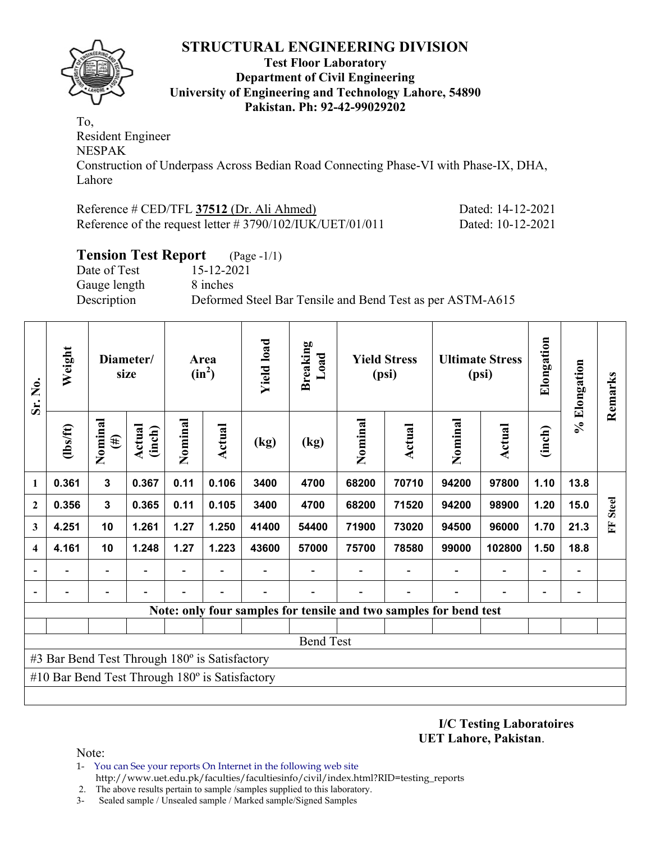

#### **Test Floor Laboratory Department of Civil Engineering University of Engineering and Technology Lahore, 54890 Pakistan. Ph: 92-42-99029202**

To, Resident Engineer NESPAK Construction of Underpass Across Bedian Road Connecting Phase-VI with Phase-IX, DHA, Lahore

| Reference # CED/TFL 37512 (Dr. Ali Ahmed)                    | Dated: 14-12-2021 |
|--------------------------------------------------------------|-------------------|
| Reference of the request letter $\# 3790/102/IUK/UET/01/011$ | Dated: 10-12-2021 |

### **Tension Test Report** (Page -1/1)

Date of Test 15-12-2021 Gauge length 8 inches

Description Deformed Steel Bar Tensile and Bend Test as per ASTM-A615

| Sr. No.                                       | Weight                                         |                          | Diameter/<br>size |         | Area<br>$(in^2)$ | <b>Yield load</b><br><b>Breaking</b><br>Load |       | <b>Yield Stress</b><br>(psi) |                                                                   | <b>Ultimate Stress</b><br>(psi) |                          | Elongation               | % Elongation                 | Remarks      |
|-----------------------------------------------|------------------------------------------------|--------------------------|-------------------|---------|------------------|----------------------------------------------|-------|------------------------------|-------------------------------------------------------------------|---------------------------------|--------------------------|--------------------------|------------------------------|--------------|
|                                               | $\frac{2}{10}$                                 | Nominal<br>$(\#)$        | Actual<br>(inch)  | Nominal | <b>Actual</b>    | (kg)                                         | (kg)  | Nominal                      | <b>Actual</b>                                                     | Nominal                         | Actual                   | (inch)                   |                              |              |
| $\mathbf{1}$                                  | 0.361                                          | $\mathbf 3$              | 0.367             | 0.11    | 0.106            | 3400                                         | 4700  | 68200                        | 70710                                                             | 94200                           | 97800                    | 1.10                     | 13.8                         |              |
| $\mathbf{2}$                                  | 0.356                                          | 3                        | 0.365             | 0.11    | 0.105            | 3400                                         | 4700  | 68200                        | 71520                                                             | 94200                           | 98900                    | 1.20                     | 15.0                         | <b>Steel</b> |
| 3                                             | 4.251                                          | 10                       | 1.261             | 1.27    | 1.250            | 41400                                        | 54400 | 71900                        | 73020                                                             | 94500                           | 96000                    | 1.70                     | 21.3                         | E            |
| $\overline{\mathbf{4}}$                       | 4.161                                          | 10                       | 1.248             | 1.27    | 1.223            | 43600                                        | 57000 | 75700                        | 78580                                                             | 99000                           | 102800                   | 1.50                     | 18.8                         |              |
|                                               | $\blacksquare$                                 | $\overline{\phantom{a}}$ | $\overline{a}$    |         |                  |                                              |       |                              |                                                                   |                                 | $\overline{\phantom{a}}$ | $\overline{\phantom{0}}$ | $\qquad \qquad \blacksquare$ |              |
|                                               |                                                |                          |                   |         |                  |                                              |       |                              |                                                                   |                                 |                          |                          |                              |              |
|                                               |                                                |                          |                   |         |                  |                                              |       |                              | Note: only four samples for tensile and two samples for bend test |                                 |                          |                          |                              |              |
|                                               |                                                |                          |                   |         |                  |                                              |       |                              |                                                                   |                                 |                          |                          |                              |              |
|                                               | <b>Bend Test</b>                               |                          |                   |         |                  |                                              |       |                              |                                                                   |                                 |                          |                          |                              |              |
| #3 Bar Bend Test Through 180° is Satisfactory |                                                |                          |                   |         |                  |                                              |       |                              |                                                                   |                                 |                          |                          |                              |              |
|                                               | #10 Bar Bend Test Through 180° is Satisfactory |                          |                   |         |                  |                                              |       |                              |                                                                   |                                 |                          |                          |                              |              |
|                                               |                                                |                          |                   |         |                  |                                              |       |                              |                                                                   |                                 |                          |                          |                              |              |

**I/C Testing Laboratoires UET Lahore, Pakistan**.

- 1- You can See your reports On Internet in the following web site http://www.uet.edu.pk/faculties/facultiesinfo/civil/index.html?RID=testing\_reports
- 2. The above results pertain to sample /samples supplied to this laboratory.
- 3- Sealed sample / Unsealed sample / Marked sample/Signed Samples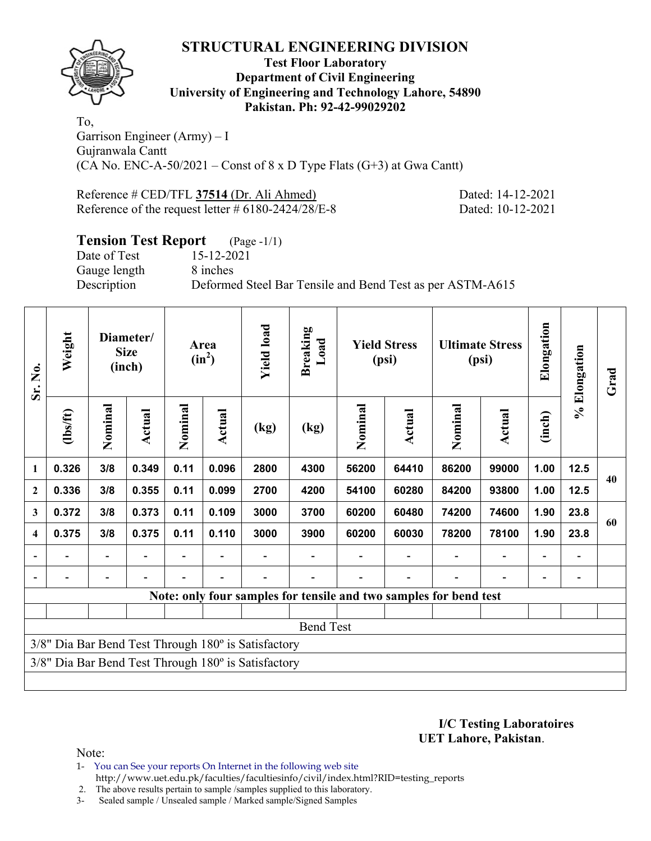

#### **Test Floor Laboratory Department of Civil Engineering University of Engineering and Technology Lahore, 54890 Pakistan. Ph: 92-42-99029202**

To, Garrison Engineer (Army) – I Gujranwala Cantt (CA No. ENC-A-50/2021 – Const of  $8 \times D$  Type Flats (G+3) at Gwa Cantt)

Reference # CED/TFL **37514** (Dr. Ali Ahmed) Dated: 14-12-2021 Reference of the request letter # 6180-2424/28/E-8 Dated: 10-12-2021

## **Tension Test Report** (Page -1/1)

Date of Test 15-12-2021 Gauge length 8 inches

Description Deformed Steel Bar Tensile and Bend Test as per ASTM-A615

| Sr. No.                                                           | Weight   | Diameter/<br><b>Size</b><br>(inch) |        | Area<br>$(in^2)$ |        | <b>Yield load</b> | <b>Breaking</b><br>Load | <b>Yield Stress</b><br>(psi) |        | <b>Ultimate Stress</b><br>(psi) |        | Elongation               | % Elongation | Grad |
|-------------------------------------------------------------------|----------|------------------------------------|--------|------------------|--------|-------------------|-------------------------|------------------------------|--------|---------------------------------|--------|--------------------------|--------------|------|
|                                                                   | (1bs/ft) | Nominal                            | Actual | Nominal          | Actual | (kg)              | (kg)                    | Nominal                      | Actual | Nominal                         | Actual | (inch)                   |              |      |
| 1                                                                 | 0.326    | 3/8                                | 0.349  | 0.11             | 0.096  | 2800              | 4300                    | 56200                        | 64410  | 86200                           | 99000  | 1.00                     | 12.5         | 40   |
| $\overline{2}$                                                    | 0.336    | 3/8                                | 0.355  | 0.11             | 0.099  | 2700              | 4200                    | 54100                        | 60280  | 84200                           | 93800  | 1.00                     | 12.5         |      |
| 3                                                                 | 0.372    | 3/8                                | 0.373  | 0.11             | 0.109  | 3000              | 3700                    | 60200                        | 60480  | 74200                           | 74600  | 1.90                     | 23.8         | 60   |
| 4                                                                 | 0.375    | 3/8                                | 0.375  | 0.11             | 0.110  | 3000              | 3900                    | 60200                        | 60030  | 78200                           | 78100  | 1.90                     | 23.8         |      |
|                                                                   |          | -                                  |        |                  |        |                   |                         |                              |        |                                 |        | $\overline{\phantom{0}}$ |              |      |
|                                                                   |          |                                    |        |                  |        |                   |                         |                              |        |                                 |        | $\overline{\phantom{0}}$ |              |      |
| Note: only four samples for tensile and two samples for bend test |          |                                    |        |                  |        |                   |                         |                              |        |                                 |        |                          |              |      |
|                                                                   |          |                                    |        |                  |        |                   |                         |                              |        |                                 |        |                          |              |      |
| <b>Bend Test</b>                                                  |          |                                    |        |                  |        |                   |                         |                              |        |                                 |        |                          |              |      |
| 3/8" Dia Bar Bend Test Through 180° is Satisfactory               |          |                                    |        |                  |        |                   |                         |                              |        |                                 |        |                          |              |      |
| $3/8$ " Dia Bar Bend Test Through $180^\circ$ is Satisfactory     |          |                                    |        |                  |        |                   |                         |                              |        |                                 |        |                          |              |      |
|                                                                   |          |                                    |        |                  |        |                   |                         |                              |        |                                 |        |                          |              |      |

**I/C Testing Laboratoires UET Lahore, Pakistan**.

Note:

1- You can See your reports On Internet in the following web site http://www.uet.edu.pk/faculties/facultiesinfo/civil/index.html?RID=testing\_reports

2. The above results pertain to sample /samples supplied to this laboratory.

3- Sealed sample / Unsealed sample / Marked sample/Signed Samples